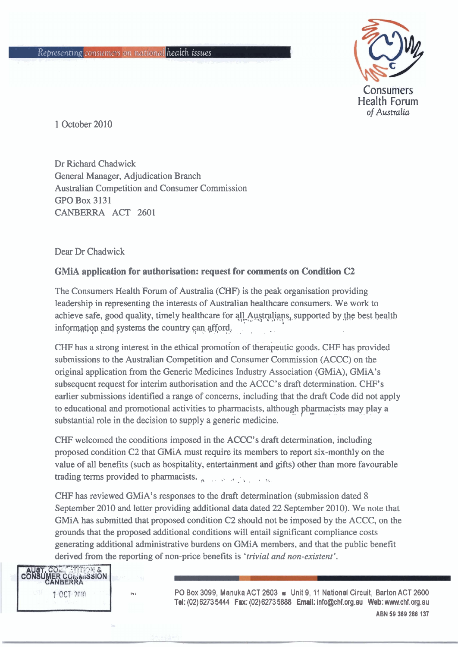

1 October 2010

Dr Richard Chadwick General Manager, Adjudication Branch Australian Competition and Consumer Commission GPO Box 3131 CANBERRA ACT 2601

Dear Dr Chadwick

## **GMiA application for authorisation: request for comments on Condition C2**

The Consumers Health Forum of Australia (CHF) is the peak organisation providing leadership in representing the interests of Australian healthcare consumers. We work to achieve safe, good quality, timely healthcare for all Australians, supported by the best health information and systems the country can afford.

CHF has a strong interest in the ethical promotion of therapeutic goods. CHF has provided submissions to the Australian Competition and Consumer Commission (ACCC) on the original application from the Generic Medicines Industry Association (GMiA), GMiA's subsequent request for interim authorisation and the ACCC's draft determination. CHF's earlier submissions identified a range of concerns, including that the draft Code did not apply to educational and promotional activities to pharmacists, although pharmacists may play a substantial role in the decision to supply a generic medicine.

CHF welcomed the conditions imposed in the ACCC's draft determination, including proposed condition C2 that GMiA must require its members to report six-monthly on the value of all benefits (such as hospitality, entertainment and gifts) other than more favourable trading terms provided to pharmacists.  $\mathbf{A} = \mathbf{B} \times \mathbf{B} \times \mathbf{A}$ 

CHF has reviewed GMiA's responses to the draft determination (submission dated 8 September 2010 and letter providing additional data dated 22 September 2010). We note that GMiA has submitted that proposed condition C2 should not be imposed by the ACCC, on the grounds that the proposed additional conditions will entail significant compliance costs generating additional administrative burdens on GMiA members, and that the public benefit derived from the reporting of non-price benefits is *'trivial* and *non-existent* '.

**STITION &** IER COMMISSION<br>ANBERRA 1 OCT 2010

**bt** PO Box **3099,** Manuka ACT **2603 m** Unit **9,** 11 National Circuit, Barton ACT **2600 Tel: (02) 6273 5444 Fax: (02) 6273 5888 Email: info@chf.org.au Web: www.chf.org.au** ABN 59 369 286 137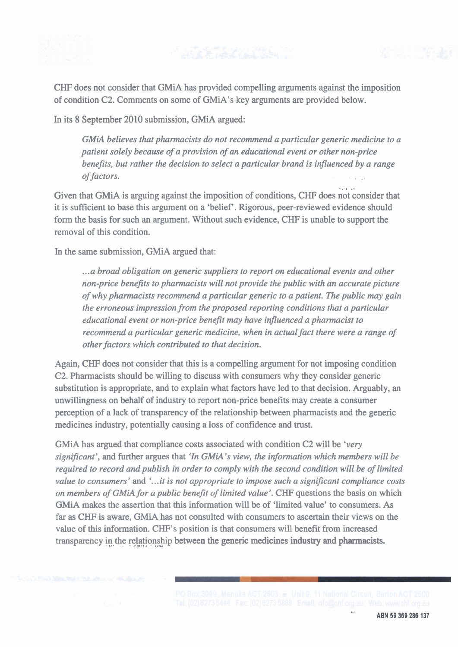CHF does not consider that GMiA has provided compelling arguments against the imposition of condition C2. Comments on some of GMiA's key arguments are provided below.

In its 8 September 2010 submission, GMiA argued:

*GMiA believes that pharmacists do not recommend a particular generic medicine to a patient solely because of a provision of an educational event or other non-price benefits, but rather the decision to select a particular brand is influenced by a range of factors.* 

.. **I** ., Given that GMiA is arguing against the imposition of conditions, CHF does not consider that it is sufficient to base this argument on a 'belief'. Rigorous, peer-reviewed evidence should form the basis for such an argument. Without such evidence, CHF is unable to support the removal of this condition.

In the same submission, GMiA argued that:

... *a broad obligation on generic suppliers to report on educational events and other non-price benefits to pharmacists will not provide the public with an accurate picture of why pharmacists recommend a particular generic to a patient. The public may gain the erroneous impression from the proposed reporting conditions that a particular educational event or non-price benefit* may *have influenced a pharmacist to recommend a particular generic medicine, when in actual fact there were a range of other factors which contributed to that decision.* 

Again, CHF does not consider that this is a compelling argument for not imposing condition C2. Pharmacists should be willing to discuss with consumers why they consider generic substitution is appropriate, and to explain what factors have led to that decision. Arguably, an unwillingness on behalf of industry to report non-price benefits may create a consumer perception of a lack of transparency of the relationship between pharmacists and the generic medicines industry, potentially causing a loss of confidence and trust.

GMiA has argued that compliance costs associated with condition C2 will be *'very significant'*, and further argues that 'In GMiA's view, the information which members will be *required to record and publish in order to comply with the second condition will be of limited value to consumers'* and *'...it is not appropriate to impose such a significant compliance costs on members of GMiA for a public benefit of limited value'.* **CHF** questions the basis on which GMiA makes the assertion that this information will be of 'limited value' to consumers. As far as CHF is aware, GMiA has not consulted with consumers to ascertain their views on the value of this information. CHF's position is that consumers will benefit from increased transparency in the relationship between the generic medicines industry and pharmacists.